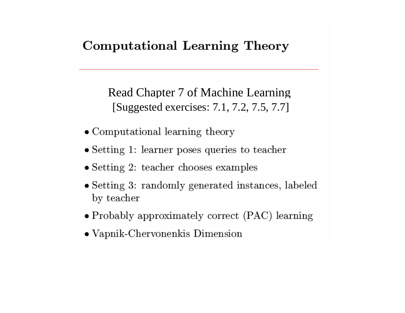#### **Computational Learning Theory**

Read Chapter 7 of Machine Learning [Suggested exercises: 7.1, 7.2, 7.5, 7.7]

- Computational learning theory
- Setting 1: learner poses queries to teacher
- $\bullet$  Setting 2: teacher chooses examples
- Setting 3: randomly generated instances, labeled by teacher
- Probably approximately correct (PAC) learning
- $\bullet$  Vapnik-Chervonenkis Dimension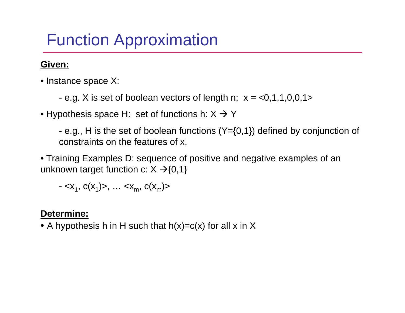# Function Approximation

#### **Given:**

- Instance space X:
	- e.g. X is set of boolean vectors of length n; x *<sup>=</sup>*<0,1,1,0,0,1>
- $\bullet$  Hypothesis space H:  $\,$  set of functions h: X  $\Rightarrow$  Y  $\,$

- e.g., H is the set of boolean functions (Y={0,1}) defined by conjunction of constraints on the features of x.

• Training Examples D: sequence of positive and negative examples of an unknown target function c:  $X \rightarrow \{0,1\}$ 

 $-, \ldots$ 

#### **Determine:**

 $\bullet$  A hypothesis h in H such that h(x)=c(x) for all x in X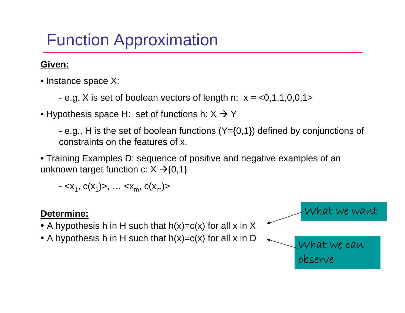# Function Approximation

#### **Given:**

- Instance space X:
	- e.g. X is set of boolean vectors of length n; x *<sup>=</sup>*<0,1,1,0,0,1>
- $\bullet$  Hypothesis space H:  $\,$  set of functions h: X  $\Rightarrow$  Y  $\,$

- e.g., H is the set of boolean functions (Y={0,1}) defined by conjunctions of constraints on the features of x.

• Training Examples D: sequence of positive and negative examples of an unknown target function c:  $X \rightarrow \{0,1\}$ 

 $-, \ldots$ 

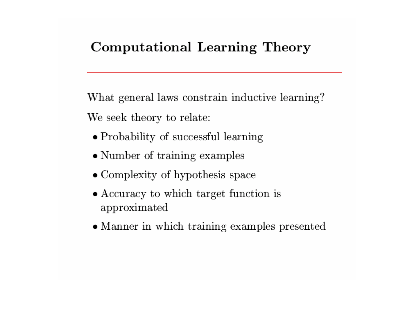# Computational Learning Theory

What general laws constrain inductive learning? We seek theory to relate:

- Probability of successful learning
- Number of training examples
- Complexity of hypothesis space
- Accuracy to which target function is approximated
- Manner in which training examples presented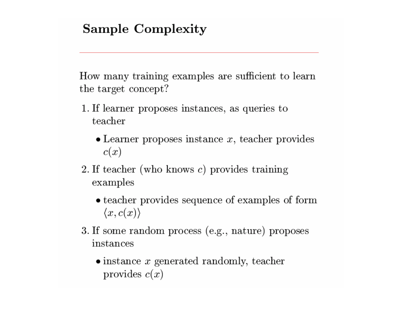## **Sample Complexity**

How many training examples are sufficient to learn the target concept?

- 1. If learner proposes instances, as queries to teacher
	- $\bullet$  Learner proposes instance x, teacher provides  $c(x)$
- 2. If teacher (who knows  $c$ ) provides training examples
	- teacher provides sequence of examples of form  $\langle x, c(x) \rangle$
- 3. If some random process (e.g., nature) proposes instances
	- $\bullet$  instance x generated randomly, teacher provides  $c(x)$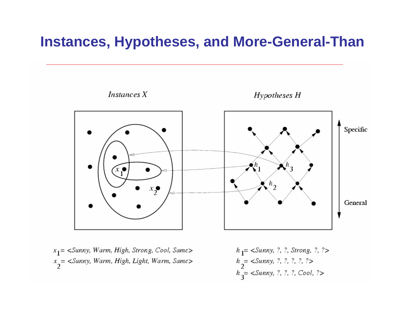## **Instances, Hypotheses, and More-General-Than**



 $x_1$  = <Sunny, Warm, High, Strong, Cool, Same>  $x_2$  = <Sunny, Warm, High, Light, Warm, Same>  $h_1$ = <Sunny, ?, ?, Strong, ?, ?>  $h_{2}^{}=$  <Sunny, ?, ?, ?, ?, ?>  $h_3^2$  < Sunny, ?, ?, ?, Cool, ?>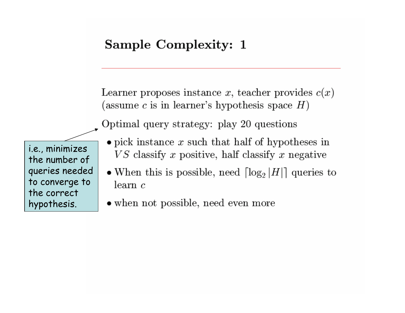## Sample Complexity: 1

Learner proposes instance x, teacher provides  $c(x)$ (assume c is in learner's hypothesis space  $H$ )

Optimal query strategy: play 20 questions

i.e., minimizes the number of queries needed to converge to the correct hypothesis.

- $\bullet$  pick instance x such that half of hypotheses in  $VS$  classify x positive, half classify x negative
- When this is possible, need  $\lceil \log_2 |H| \rceil$  queries to  $\alpha$  learn  $\alpha$
- when not possible, need even more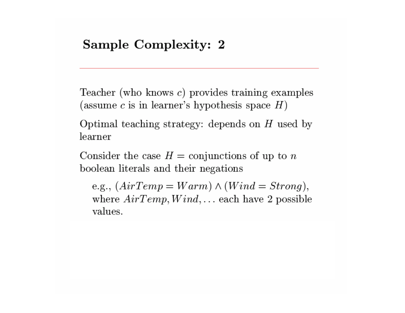Teacher (who knows  $c$ ) provides training examples (assume c is in learner's hypothesis space  $H$ )

Optimal teaching strategy: depends on  $H$  used by learner

Consider the case  $H =$  conjunctions of up to n boolean literals and their negations

e.g.,  $(AirTemp = Warm) \wedge (Wind = Strong),$ where  $AirTemp, Wind, \ldots$  each have 2 possible values.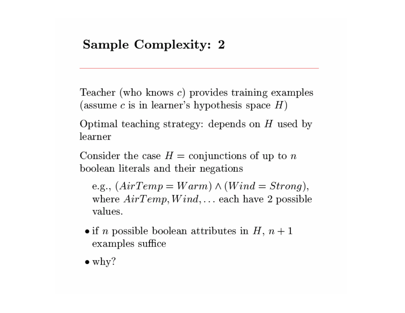Teacher (who knows  $c$ ) provides training examples (assume c is in learner's hypothesis space  $H$ )

Optimal teaching strategy: depends on  $H$  used by learner

Consider the case  $H =$  conjunctions of up to n boolean literals and their negations

e.g.,  $(AirTemp = Warm) \wedge (Wind = Strong),$ where  $AirTemp, Wind, ...$  each have 2 possible values.

- if *n* possible boolean attributes in  $H$ ,  $n+1$ examples suffice
- $\bullet$  why?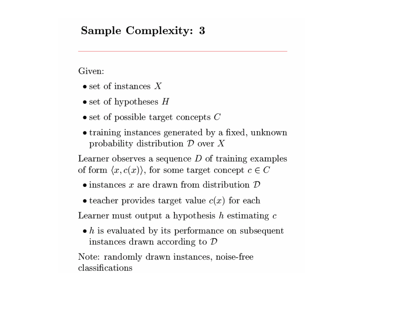#### Sample Complexity: 3

Given:

- $\bullet$  set of instances X
- $\bullet$  set of hypotheses  $H$
- $\bullet$  set of possible target concepts C
- training instances generated by a fixed, unknown probability distribution  $D$  over X

Learner observes a sequence  $D$  of training examples of form  $\langle x, c(x) \rangle$ , for some target concept  $c \in C$ 

- $\bullet$  instances x are drawn from distribution  $\mathcal D$
- teacher provides target value  $c(x)$  for each

Learner must output a hypothesis  $h$  estimating  $c$ 

 $\bullet$  h is evaluated by its performance on subsequent instances drawn according to  $D$ 

Note: randomly drawn instances, noise-free classifications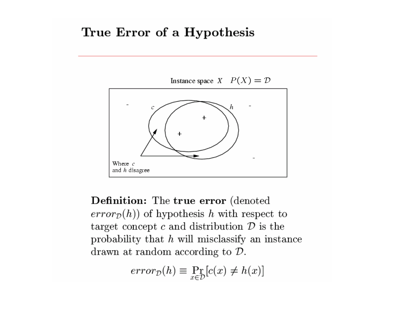#### True Error of a Hypothesis

Instance space  $X$   $P(X) = D$ h  $\mathcal{C}$  $\ddot{}$  $\ddot{}$ Where  $c$ and h disagree

**Definition:** The true error (denoted)  $error_{\mathcal{D}}(h)$  of hypothesis h with respect to target concept c and distribution  $\mathcal{D}$  is the probability that  $h$  will misclassify an instance drawn at random according to  $D$ .

 $error_{\mathcal{D}}(h) \equiv \Pr_{x \in \mathcal{D}}[c(x) \neq h(x)]$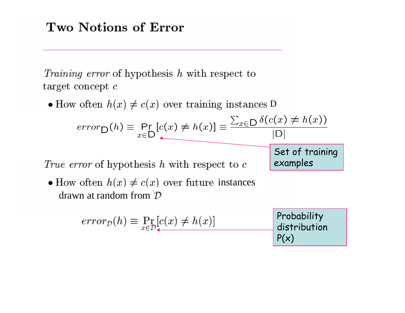*Training error* of hypothesis h with respect to target concept  $c$ 

D

$$
error_D(h) \equiv \Pr_{x \in D} [c(x) \neq h(x)] \equiv \frac{\sum_{x \in D} \delta(c(x) \neq h(x))}{|D|}
$$
  
Set of training

examples

True error of hypothesis  $h$  with respect to  $c$ 

instances drawn at random from

$$
error_{\mathcal{D}}(h) \equiv \Pr_{x \in \mathcal{D}}[c(x) \neq h(x)]
$$
Probability distribution  

$$
P(x)
$$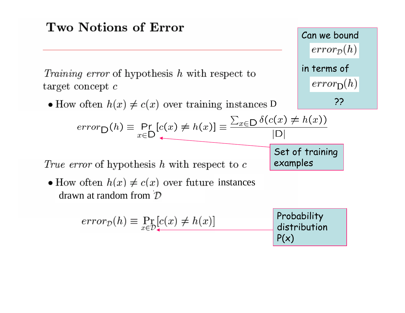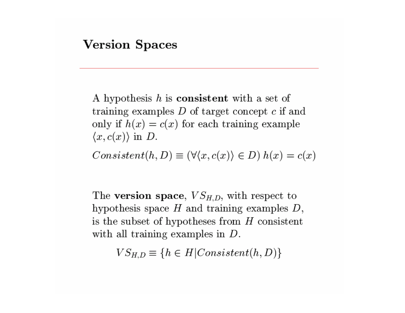A hypothesis  $h$  is **consistent** with a set of training examples  $D$  of target concept  $c$  if and only if  $h(x) = c(x)$  for each training example  $\langle x, c(x) \rangle$  in D.

 $Consistent(h, D) \equiv (\forall \langle x, c(x) \rangle \in D) h(x) = c(x)$ 

The version space,  $VS_{H,D}$ , with respect to hypothesis space  $H$  and training examples  $D$ , is the subset of hypotheses from  $H$  consistent with all training examples in  $D$ .

 $VS_{H,D} \equiv \{h \in H| Consistent(h,D)\}\$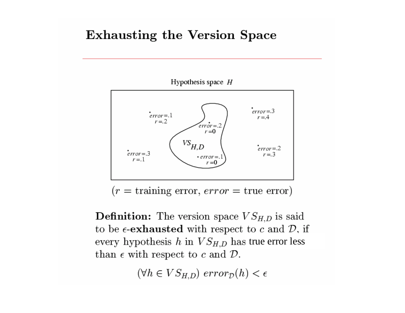#### **Exhausting the Version Space**



 $(r = \text{training error}, \text{error} = \text{true error})$ 

**Definition:** The version space  $VS_{H,D}$  is said to be  $\epsilon$ -exhausted with respect to c and D, if every hypothesis h in  $VS_{H,D}$  has true error less than  $\epsilon$  with respect to c and  $\mathcal{D}$ .

 $(\forall h \in VS_{H,D})$  error<sub>p</sub> $(h) < \epsilon$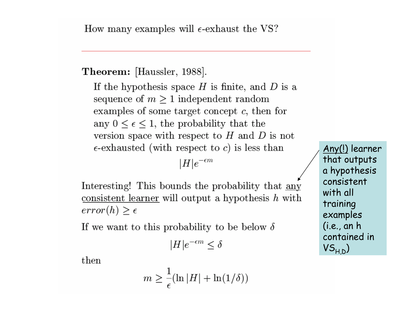How many examples will  $\epsilon$ -exhaust the VS?

Theorem: [Haussler, 1988].

If the hypothesis space  $H$  is finite, and  $D$  is a sequence of  $m \geq 1$  independent random examples of some target concept  $c$ , then for any  $0 \leq \epsilon \leq 1$ , the probability that the version space with respect to  $H$  and  $D$  is not  $\epsilon$ -exhausted (with respect to c) is less than

 $|H|e^{-\epsilon m}$ 

Interesting! This bounds the probability that any consistent learner will output a hypothesis  $h$  with  $error(h) \geq \epsilon$ 

If we want to this probability to be below  $\delta$ 

$$
|H|e^{-\epsilon m}\leq \delta
$$

then

$$
m \ge \frac{1}{\epsilon} (\ln |H| + \ln(1/\delta))
$$

Any(!) learner that outputs a hypothesis consistent with all training examples  $(i.e., an h)$ contained in  $VS_{H\,D})$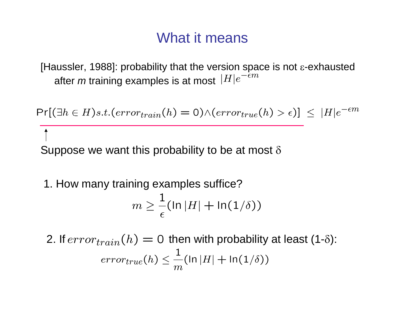## What it means

[Haussler, 1988]: probability that the version space is not  $\varepsilon$ -exhausted after *m* training examples is at most

 $Pr[(\exists h \in H)s.t. (error_{train}(h) = 0) \land (error_{true}(h) > \epsilon)] \leq |H|e^{-\epsilon m}$ 

Suppose we want this probability to be at most  $\delta$ 

1. How many training examples suffice?

$$
m \geq \frac{1}{\epsilon} (\ln |H| + \ln(1/\delta))
$$

2. If  $error_{train}(h) = 0$  then with probability at least (1-δ):<br> $error_{true}(h) \leq \frac{1}{m}(\ln|H| + \ln(1/\delta))$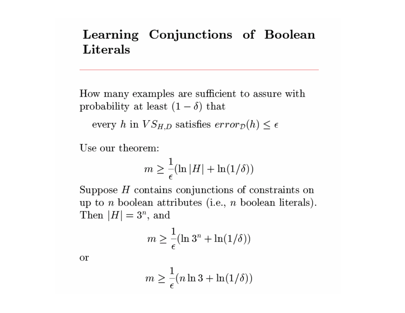## Learning Conjunctions of Boolean **Literals**

How many examples are sufficient to assure with probability at least  $(1 - \delta)$  that

every h in  $VS_{H,D}$  satisfies  $error_{\mathcal{D}}(h) \leq \epsilon$ 

Use our theorem:

$$
m \ge \frac{1}{\epsilon} (\ln |H| + \ln(1/\delta))
$$

Suppose  $H$  contains conjunctions of constraints on up to *n* boolean attributes (i.e., *n* boolean literals). Then  $|H|=3^n$ , and

$$
m \ge \frac{1}{\epsilon} (\ln 3^n + \ln(1/\delta))
$$

**or** 

$$
m \ge \frac{1}{\epsilon} (n \ln 3 + \ln(1/\delta))
$$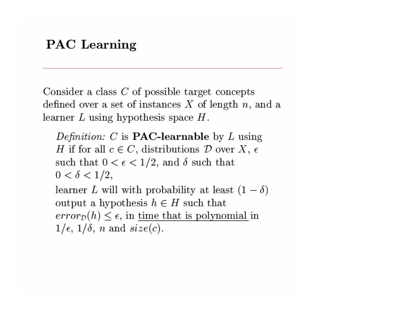### **PAC** Learning

Consider a class  $C$  of possible target concepts defined over a set of instances  $X$  of length  $n$ , and a learner  $L$  using hypothesis space  $H$ .

*Definition:* C is **PAC-learnable** by L using H if for all  $c \in C$ , distributions D over X,  $\epsilon$ such that  $0 < \epsilon < 1/2$ , and  $\delta$  such that  $0 < \delta < 1/2$ , learner L will with probability at least  $(1 - \delta)$ output a hypothesis  $h \in H$  such that  $error_{\mathcal{D}}(h) \leq \epsilon$ , in time that is polynomial in

$$
1/\epsilon
$$
,  $1/\delta$ , n and  $size(c)$ .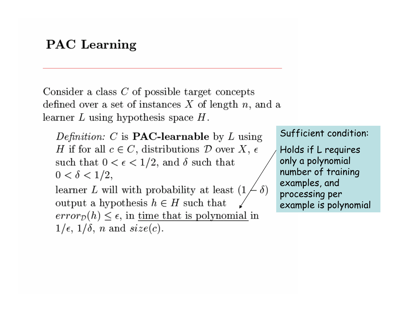#### **PAC** Learning

Consider a class  $C$  of possible target concepts defined over a set of instances  $X$  of length  $n$ , and a learner  $L$  using hypothesis space  $H$ .

*Definition:* C is **PAC-learnable** by L using H if for all  $c \in C$ , distributions D over X,  $\epsilon$ such that  $0 < \epsilon < 1/2$ , and  $\delta$  such that  $0 < \delta < 1/2$ ,

learner  $L$  will with probability at least  $(1)$ output a hypothesis  $h \in H$  such that  $error_{\mathcal{D}}(h) \leq \epsilon$ , in time that is polynomial in  $1/\epsilon$ ,  $1/\delta$ , *n* and  $size(c)$ .

#### Sufficient condition:

Holds if L requires only a polynomial number of training examples, and processing per example is polynomial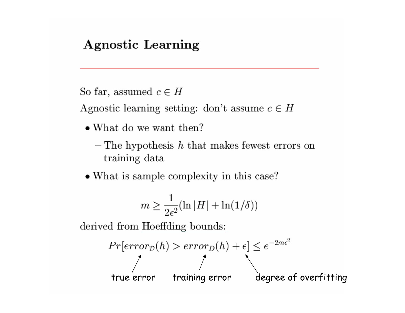### **Agnostic Learning**

```
So far, assumed c \in H
```
Agnostic learning setting: don't assume  $c \in H$ 

- What do we want then?
	- $-$  The hypothesis h that makes fewest errors on training data
- What is sample complexity in this case?

$$
m \geq \frac{1}{2\epsilon^2}(\ln|H| + \ln(1/\delta))
$$

derived from Hoeffding bounds:

$$
Pr[error_D(h) > error_D(h) + \epsilon] \le e^{-2m\epsilon^2}
$$
\n
$$
true error \quad training error \quad degree \, of \, overfitting
$$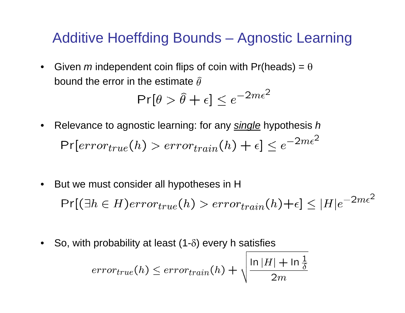# Additive Hoeffding Bounds – Agnostic Learning

 $\bullet$ Given *m* independent coin flips of coin with Pr(heads) =  $\theta$ bound the error in the estimate  $\hat{\theta}$ 

$$
\Pr[\theta > \hat{\theta} + \epsilon] \le e^{-2m\epsilon^2}
$$

- Relevance to agnostic learning: for any *single* hypothesis *h*  $\bullet$  $Pr[error_{true}(h) > error_{train}(h) + \epsilon] \le e^{-2m\epsilon^2}$
- But we must consider all hypotheses in H  $\bullet$  $Pr[(\exists h \in H)error_{true}(h) > error_{train}(h)+\epsilon] \leq |H|e^{-2m\epsilon^2}$
- •So, with probability at least  $(1-\delta)$  every h satisfies

$$
error_{true}(h) \leq error_{train}(h) + \sqrt{\frac{\ln|H| + \ln\frac{1}{\delta}}{2m}}
$$